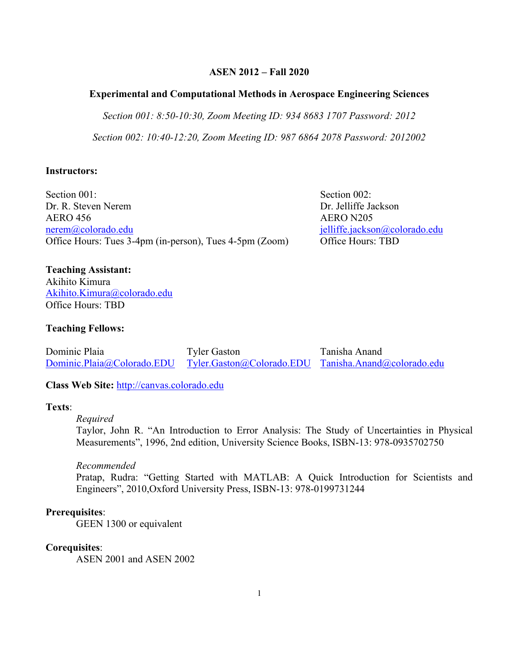## **ASEN 2012 – Fall 2020**

### **Experimental and Computational Methods in Aerospace Engineering Sciences**

*Section 001: 8:50-10:30, Zoom Meeting ID: 934 8683 1707 Password: 2012*

*Section 002: 10:40-12:20, Zoom Meeting ID: 987 6864 2078 Password: 2012002*

### **Instructors:**

Section 001: Section 002: Dr. R. Steven Nerem **Dr. Jelliffe Jackson** AERO 456 AERO N205 nerem@colorado.edu **ielliffe.jackson@colorado.edu** jelliffe.jackson@colorado.edu Office Hours: Tues 3-4pm (in-person), Tues 4-5pm (Zoom) Office Hours: TBD

**Teaching Assistant:** Akihito Kimura Akihito.Kimura@colorado.edu Office Hours: TBD

### **Teaching Fellows:**

Dominic Plaia Tyler Gaston Tanisha Anand Dominic.Plaia@Colorado.EDU Tyler.Gaston@Colorado.EDU Tanisha.Anand@colorado.edu

**Class Web Site:** http://canvas.colorado.edu

## **Texts**:

#### *Required*

Taylor, John R. "An Introduction to Error Analysis: The Study of Uncertainties in Physical Measurements", 1996, 2nd edition, University Science Books, ISBN-13: 978-0935702750

#### *Recommended*

Pratap, Rudra: "Getting Started with MATLAB: A Quick Introduction for Scientists and Engineers", 2010,Oxford University Press, ISBN-13: 978-0199731244

### **Prerequisites**:

GEEN 1300 or equivalent

### **Corequisites**:

ASEN 2001 and ASEN 2002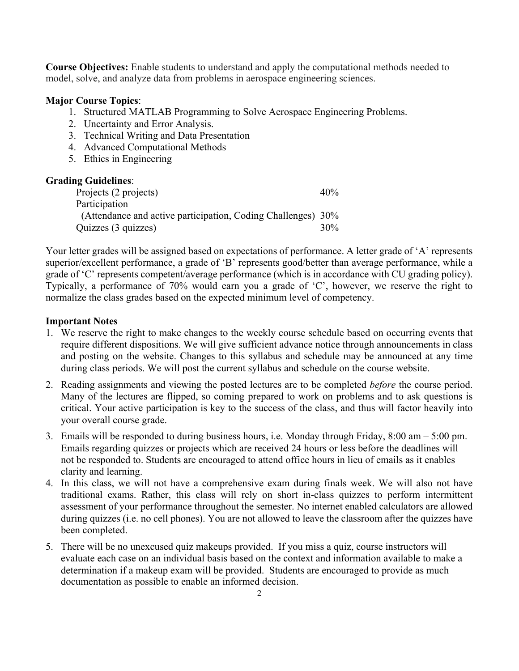**Course Objectives:** Enable students to understand and apply the computational methods needed to model, solve, and analyze data from problems in aerospace engineering sciences.

## **Major Course Topics**:

- 1. Structured MATLAB Programming to Solve Aerospace Engineering Problems.
- 2. Uncertainty and Error Analysis.
- 3. Technical Writing and Data Presentation
- 4. Advanced Computational Methods
- 5. Ethics in Engineering

### **Grading Guidelines**:

| Projects (2 projects)                                        | $40\%$ |
|--------------------------------------------------------------|--------|
| Participation                                                |        |
| (Attendance and active participation, Coding Challenges) 30% |        |
| Quizzes (3 quizzes)                                          | $30\%$ |

Your letter grades will be assigned based on expectations of performance. A letter grade of 'A' represents superior/excellent performance, a grade of 'B' represents good/better than average performance, while a grade of 'C' represents competent/average performance (which is in accordance with CU grading policy). Typically, a performance of 70% would earn you a grade of 'C', however, we reserve the right to normalize the class grades based on the expected minimum level of competency.

### **Important Notes**

- 1. We reserve the right to make changes to the weekly course schedule based on occurring events that require different dispositions. We will give sufficient advance notice through announcements in class and posting on the website. Changes to this syllabus and schedule may be announced at any time during class periods. We will post the current syllabus and schedule on the course website.
- 2. Reading assignments and viewing the posted lectures are to be completed *before* the course period. Many of the lectures are flipped, so coming prepared to work on problems and to ask questions is critical. Your active participation is key to the success of the class, and thus will factor heavily into your overall course grade.
- 3. Emails will be responded to during business hours, i.e. Monday through Friday, 8:00 am 5:00 pm. Emails regarding quizzes or projects which are received 24 hours or less before the deadlines will not be responded to. Students are encouraged to attend office hours in lieu of emails as it enables clarity and learning.
- 4. In this class, we will not have a comprehensive exam during finals week. We will also not have traditional exams. Rather, this class will rely on short in-class quizzes to perform intermittent assessment of your performance throughout the semester. No internet enabled calculators are allowed during quizzes (i.e. no cell phones). You are not allowed to leave the classroom after the quizzes have been completed.
- 5. There will be no unexcused quiz makeups provided. If you miss a quiz, course instructors will evaluate each case on an individual basis based on the context and information available to make a determination if a makeup exam will be provided. Students are encouraged to provide as much documentation as possible to enable an informed decision.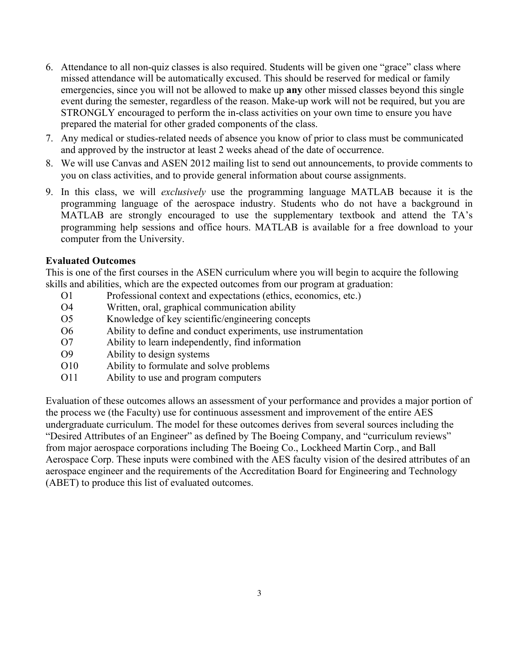- 6. Attendance to all non-quiz classes is also required. Students will be given one "grace" class where missed attendance will be automatically excused. This should be reserved for medical or family emergencies, since you will not be allowed to make up **any** other missed classes beyond this single event during the semester, regardless of the reason. Make-up work will not be required, but you are STRONGLY encouraged to perform the in-class activities on your own time to ensure you have prepared the material for other graded components of the class.
- 7. Any medical or studies-related needs of absence you know of prior to class must be communicated and approved by the instructor at least 2 weeks ahead of the date of occurrence.
- 8. We will use Canvas and ASEN 2012 mailing list to send out announcements, to provide comments to you on class activities, and to provide general information about course assignments.
- 9. In this class, we will *exclusively* use the programming language MATLAB because it is the programming language of the aerospace industry. Students who do not have a background in MATLAB are strongly encouraged to use the supplementary textbook and attend the TA's programming help sessions and office hours. MATLAB is available for a free download to your computer from the University.

## **Evaluated Outcomes**

This is one of the first courses in the ASEN curriculum where you will begin to acquire the following skills and abilities, which are the expected outcomes from our program at graduation:

- O1 Professional context and expectations (ethics, economics, etc.)
- O4 Written, oral, graphical communication ability
- O5 Knowledge of key scientific/engineering concepts
- O6 Ability to define and conduct experiments, use instrumentation
- O7 Ability to learn independently, find information
- O9 Ability to design systems
- O10 Ability to formulate and solve problems
- O11 Ability to use and program computers

Evaluation of these outcomes allows an assessment of your performance and provides a major portion of the process we (the Faculty) use for continuous assessment and improvement of the entire AES undergraduate curriculum. The model for these outcomes derives from several sources including the "Desired Attributes of an Engineer" as defined by The Boeing Company, and "curriculum reviews" from major aerospace corporations including The Boeing Co., Lockheed Martin Corp., and Ball Aerospace Corp. These inputs were combined with the AES faculty vision of the desired attributes of an aerospace engineer and the requirements of the Accreditation Board for Engineering and Technology (ABET) to produce this list of evaluated outcomes.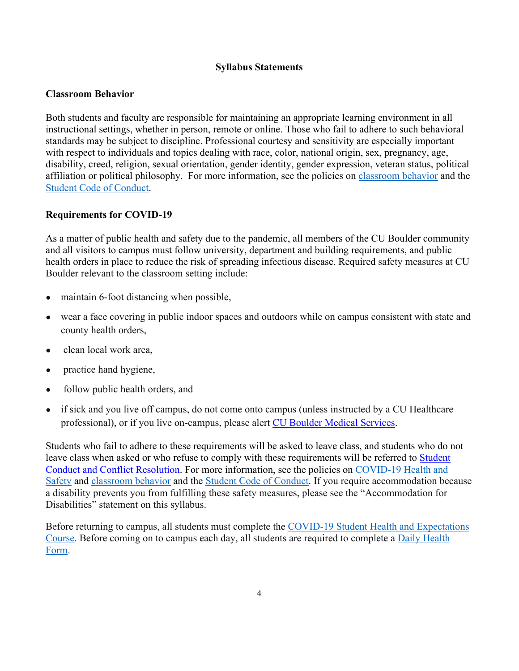### **Syllabus Statements**

## **Classroom Behavior**

Both students and faculty are responsible for maintaining an appropriate learning environment in all instructional settings, whether in person, remote or online. Those who fail to adhere to such behavioral standards may be subject to discipline. Professional courtesy and sensitivity are especially important with respect to individuals and topics dealing with race, color, national origin, sex, pregnancy, age, disability, creed, religion, sexual orientation, gender identity, gender expression, veteran status, political affiliation or political philosophy. For more information, see the policies on classroom behavior and the Student Code of Conduct.

### **Requirements for COVID-19**

As a matter of public health and safety due to the pandemic, all members of the CU Boulder community and all visitors to campus must follow university, department and building requirements, and public health orders in place to reduce the risk of spreading infectious disease. Required safety measures at CU Boulder relevant to the classroom setting include:

- maintain 6-foot distancing when possible,
- wear a face covering in public indoor spaces and outdoors while on campus consistent with state and county health orders,
- clean local work area,
- practice hand hygiene,
- follow public health orders, and
- if sick and you live off campus, do not come onto campus (unless instructed by a CU Healthcare professional), or if you live on-campus, please alert CU Boulder Medical Services.

Students who fail to adhere to these requirements will be asked to leave class, and students who do not leave class when asked or who refuse to comply with these requirements will be referred to Student Conduct and Conflict Resolution. For more information, see the policies on COVID-19 Health and Safety and classroom behavior and the Student Code of Conduct. If you require accommodation because a disability prevents you from fulfilling these safety measures, please see the "Accommodation for Disabilities" statement on this syllabus.

Before returning to campus, all students must complete the COVID-19 Student Health and Expectations Course. Before coming on to campus each day, all students are required to complete a Daily Health Form.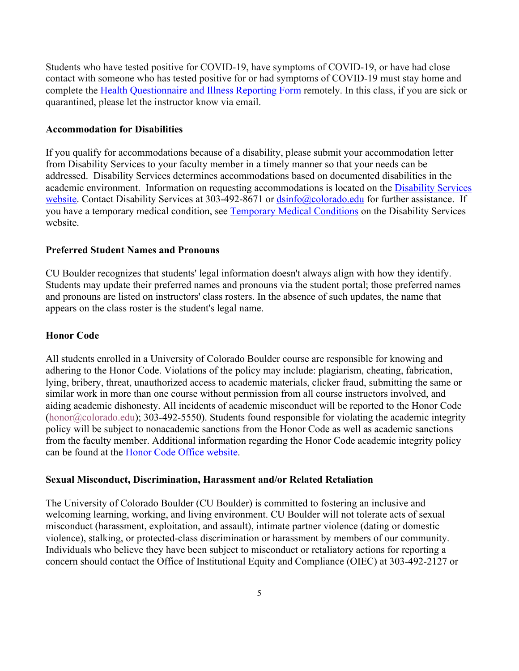Students who have tested positive for COVID-19, have symptoms of COVID-19, or have had close contact with someone who has tested positive for or had symptoms of COVID-19 must stay home and complete the Health Questionnaire and Illness Reporting Form remotely. In this class, if you are sick or quarantined, please let the instructor know via email.

### **Accommodation for Disabilities**

If you qualify for accommodations because of a disability, please submit your accommodation letter from Disability Services to your faculty member in a timely manner so that your needs can be addressed. Disability Services determines accommodations based on documented disabilities in the academic environment. Information on requesting accommodations is located on the Disability Services website. Contact Disability Services at 303-492-8671 or  $\frac{dsinfo(\omega)$ colorado.edu for further assistance. If you have a temporary medical condition, see Temporary Medical Conditions on the Disability Services website.

### **Preferred Student Names and Pronouns**

CU Boulder recognizes that students' legal information doesn't always align with how they identify. Students may update their preferred names and pronouns via the student portal; those preferred names and pronouns are listed on instructors' class rosters. In the absence of such updates, the name that appears on the class roster is the student's legal name.

## **Honor Code**

All students enrolled in a University of Colorado Boulder course are responsible for knowing and adhering to the Honor Code. Violations of the policy may include: plagiarism, cheating, fabrication, lying, bribery, threat, unauthorized access to academic materials, clicker fraud, submitting the same or similar work in more than one course without permission from all course instructors involved, and aiding academic dishonesty. All incidents of academic misconduct will be reported to the Honor Code (honor@colorado.edu); 303-492-5550). Students found responsible for violating the academic integrity policy will be subject to nonacademic sanctions from the Honor Code as well as academic sanctions from the faculty member. Additional information regarding the Honor Code academic integrity policy can be found at the Honor Code Office website.

### **Sexual Misconduct, Discrimination, Harassment and/or Related Retaliation**

The University of Colorado Boulder (CU Boulder) is committed to fostering an inclusive and welcoming learning, working, and living environment. CU Boulder will not tolerate acts of sexual misconduct (harassment, exploitation, and assault), intimate partner violence (dating or domestic violence), stalking, or protected-class discrimination or harassment by members of our community. Individuals who believe they have been subject to misconduct or retaliatory actions for reporting a concern should contact the Office of Institutional Equity and Compliance (OIEC) at 303-492-2127 or